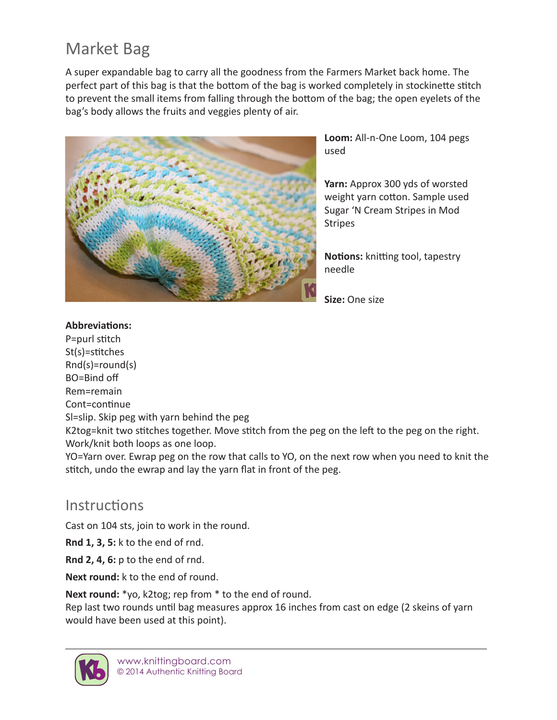## Market Bag

A super expandable bag to carry all the goodness from the Farmers Market back home. The perfect part of this bag is that the bottom of the bag is worked completely in stockinette stitch to prevent the small items from falling through the bottom of the bag; the open eyelets of the bag's body allows the fruits and veggies plenty of air.



**Loom:** All-n-One Loom, 104 pegs used

**Yarn:** Approx 300 yds of worsted weight yarn cotton. Sample used Sugar 'N Cream Stripes in Mod Stripes

**Notions:** knitting tool, tapestry needle

**Size:** One size

## **Abbreviations:**

P=purl stitch St(s)=stitches Rnd(s)=round(s) BO=Bind off Rem=remain Cont=continue Sl=slip. Skip peg with yarn behind the peg K2tog=knit two stitches together. Move stitch from the peg on the left to the peg on the right. Work/knit both loops as one loop.

YO=Yarn over. Ewrap peg on the row that calls to YO, on the next row when you need to knit the stitch, undo the ewrap and lay the yarn flat in front of the peg.

## Instructions

Cast on 104 sts, join to work in the round.

**Rnd 1, 3, 5:** k to the end of rnd.

**Rnd 2, 4, 6:** p to the end of rnd.

**Next round:** k to the end of round.

**Next round:** \*yo, k2tog; rep from \* to the end of round.

Rep last two rounds until bag measures approx 16 inches from cast on edge (2 skeins of yarn would have been used at this point).